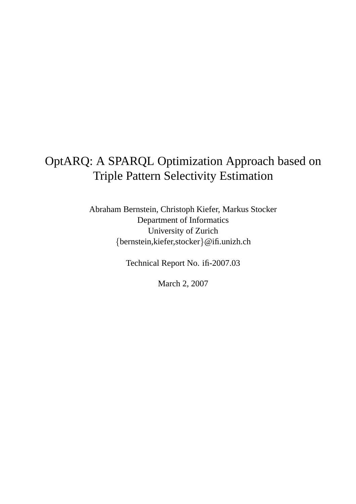# OptARQ: A SPARQL Optimization Approach based on Triple Pattern Selectivity Estimation

Abraham Bernstein, Christoph Kiefer, Markus Stocker Department of Informatics University of Zurich {bernstein,kiefer,stocker}@ifi.unizh.ch

Technical Report No. ifi-2007.03

March 2, 2007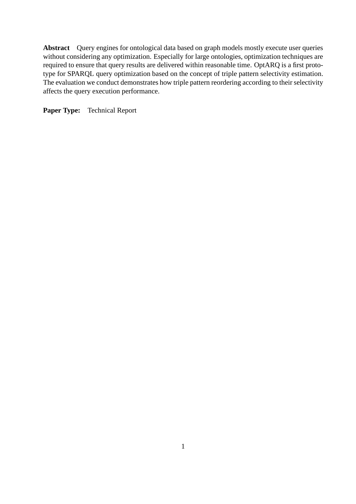**Abstract** Query engines for ontological data based on graph models mostly execute user queries without considering any optimization. Especially for large ontologies, optimization techniques are required to ensure that query results are delivered within reasonable time. OptARQ is a first prototype for SPARQL query optimization based on the concept of triple pattern selectivity estimation. The evaluation we conduct demonstrates how triple pattern reordering according to their selectivity affects the query execution performance.

**Paper Type:** Technical Report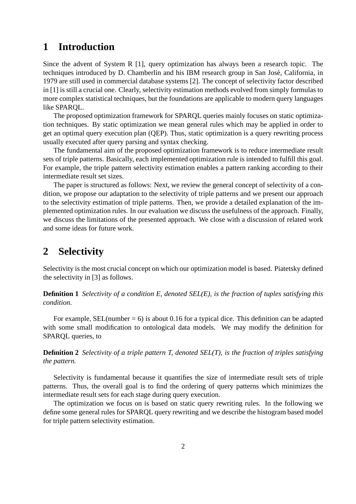## **1 Introduction**

Since the advent of System R [1], query optimization has always been a research topic. The techniques introduced by D. Chamberlin and his IBM research group in San José, California, in 1979 are still used in commercial database systems [2]. The concept of selectivity factor described in [1] is still a crucial one. Clearly, selectivity estimation methods evolved from simply formulas to more complex statistical techniques, but the foundations are applicable to modern query languages like SPARQL.

The proposed optimization framework for SPARQL queries mainly focuses on static optimization techniques. By static optimization we mean general rules which may be applied in order to get an optimal query execution plan (QEP). Thus, static optimization is a query rewriting process usually executed after query parsing and syntax checking.

The fundamental aim of the proposed optimization framework is to reduce intermediate result sets of triple patterns. Basically, each implemented optimization rule is intended to fulfill this goal. For example, the triple pattern selectivity estimation enables a pattern ranking according to their intermediate result set sizes.

The paper is structured as follows: Next, we review the general concept of selectivity of a condition, we propose our adaptation to the selectivity of triple patterns and we present our approach to the selectivity estimation of triple patterns. Then, we provide a detailed explanation of the implemented optimization rules. In our evaluation we discuss the usefulness of the approach. Finally, we discuss the limitations of the presented approach. We close with a discussion of related work and some ideas for future work.

## **2 Selectivity**

Selectivity is the most crucial concept on which our optimization model is based. Piatetsky defined the selectivity in [3] as follows.

**Definition 1** *Selectivity of a condition E, denoted SEL(E), is the fraction of tuples satisfying this condition.*

For example, SEL(number  $= 6$ ) is about 0.16 for a typical dice. This definition can be adapted with some small modification to ontological data models. We may modify the definition for SPARQL queries, to

**Definition 2** *Selectivity of a triple pattern T, denoted SEL(T), is the fraction of triples satisfying the pattern.*

Selectivity is fundamental because it quantifies the size of intermediate result sets of triple patterns. Thus, the overall goal is to find the ordering of query patterns which minimizes the intermediate result sets for each stage during query execution.

The optimization we focus on is based on static query rewriting rules. In the following we define some general rules for SPARQL query rewriting and we describe the histogram based model for triple pattern selectivity estimation.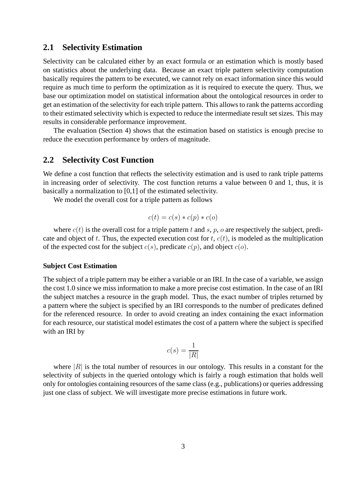## **2.1 Selectivity Estimation**

Selectivity can be calculated either by an exact formula or an estimation which is mostly based on statistics about the underlying data. Because an exact triple pattern selectivity computation basically requires the pattern to be executed, we cannot rely on exact information since this would require as much time to perform the optimization as it is required to execute the query. Thus, we base our optimization model on statistical information about the ontological resources in order to get an estimation of the selectivity for each triple pattern. This allows to rank the patterns according to their estimated selectivity which is expected to reduce the intermediate result set sizes. This may results in considerable performance improvement.

The evaluation (Section 4) shows that the estimation based on statistics is enough precise to reduce the execution performance by orders of magnitude.

#### **2.2 Selectivity Cost Function**

We define a cost function that reflects the selectivity estimation and is used to rank triple patterns in increasing order of selectivity. The cost function returns a value between 0 and 1, thus, it is basically a normalization to [0,1] of the estimated selectivity.

We model the overall cost for a triple pattern as follows

$$
c(t) = c(s) * c(p) * c(o)
$$

where  $c(t)$  is the overall cost for a triple pattern t and s, p, o are respectively the subject, predicate and object of t. Thus, the expected execution cost for t,  $c(t)$ , is modeled as the multiplication of the expected cost for the subject  $c(s)$ , predicate  $c(p)$ , and object  $c(o)$ .

#### **Subject Cost Estimation**

The subject of a triple pattern may be either a variable or an IRI. In the case of a variable, we assign the cost 1.0 since we miss information to make a more precise cost estimation. In the case of an IRI the subject matches a resource in the graph model. Thus, the exact number of triples returned by a pattern where the subject is specified by an IRI corresponds to the number of predicates defined for the referenced resource. In order to avoid creating an index containing the exact information for each resource, our statistical model estimates the cost of a pattern where the subject is specified with an IRI by

$$
c(s) = \frac{1}{|R|}
$$

where  $|R|$  is the total number of resources in our ontology. This results in a constant for the selectivity of subjects in the queried ontology which is fairly a rough estimation that holds well only for ontologies containing resources of the same class (e.g., publications) or queries addressing just one class of subject. We will investigate more precise estimations in future work.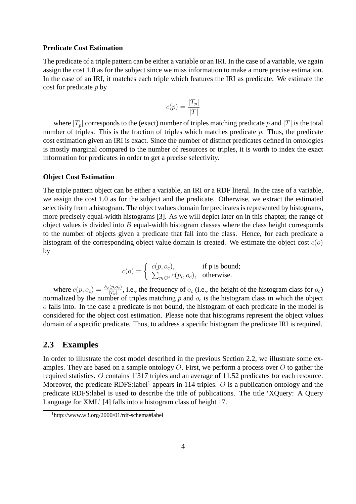#### **Predicate Cost Estimation**

The predicate of a triple pattern can be either a variable or an IRI. In the case of a variable, we again assign the cost 1.0 as for the subject since we miss information to make a more precise estimation. In the case of an IRI, it matches each triple which features the IRI as predicate. We estimate the cost for predicate  $p$  by

$$
c(p) = \frac{|T_p|}{|T|}
$$

where  $|T_p|$  corresponds to the (exact) number of triples matching predicate p and |T| is the total number of triples. This is the fraction of triples which matches predicate  $p$ . Thus, the predicate cost estimation given an IRI is exact. Since the number of distinct predicates defined in ontologies is mostly marginal compared to the number of resources or triples, it is worth to index the exact information for predicates in order to get a precise selectivity.

#### **Object Cost Estimation**

The triple pattern object can be either a variable, an IRI or a RDF literal. In the case of a variable, we assign the cost 1.0 as for the subject and the predicate. Otherwise, we extract the estimated selectivity from a histogram. The object values domain for predicates is represented by histograms, more precisely equal-width histograms [3]. As we will depict later on in this chapter, the range of object values is divided into  $B$  equal-width histogram classes where the class height corresponds to the number of objects given a predicate that fall into the class. Hence, for each predicate a histogram of the corresponding object value domain is created. We estimate the object cost  $c(o)$ by

$$
c(o) = \begin{cases} c(p, o_c), & \text{if p is bound;} \\ \sum_{p_i \in \mathbb{P}} c(p_i, o_c), & \text{otherwise.} \end{cases}
$$

where  $c(p, o_c) = \frac{h_c(p, o_c)}{|T_p|}$ , i.e., the frequency of  $o_c$  (i.e., the height of the histogram class for  $o_c$ ) normalized by the number of triples matching  $p$  and  $o_c$  is the histogram class in which the object o falls into. In the case a predicate is not bound, the histogram of each predicate in the model is considered for the object cost estimation. Please note that histograms represent the object values domain of a specific predicate. Thus, to address a specific histogram the predicate IRI is required.

### **2.3 Examples**

In order to illustrate the cost model described in the previous Section 2.2, we illustrate some examples. They are based on a sample ontology  $O$ . First, we perform a process over  $O$  to gather the required statistics. O contains 1'317 triples and an average of 11.52 predicates for each resource. Moreover, the predicate RDFS:label<sup>1</sup> appears in 114 triples.  $O$  is a publication ontology and the predicate RDFS:label is used to describe the title of publications. The title 'XQuery: A Query Language for XML' [4] falls into a histogram class of height 17.

<sup>1</sup>http://www.w3.org/2000/01/rdf-schema#label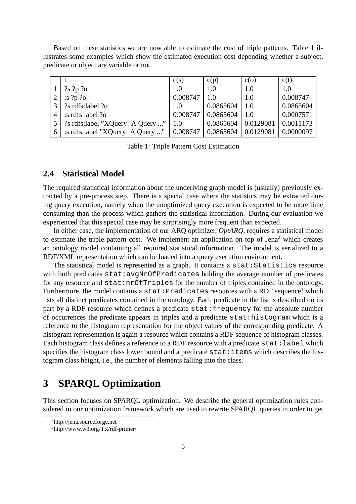Based on these statistics we are now able to estimate the cost of triple patterns. Table 1 illustrates some examples which show the estimated execution cost depending whether a subject, predicate or object are variable or not.

|   |                                   | c(s)     | c(p)                           | c(o)      | c(t)      |
|---|-----------------------------------|----------|--------------------------------|-----------|-----------|
|   | $?s$ ?p ?o                        | 1.0      | 1.0                            | 1.0       | 1.0       |
|   | :s $?p$ $?o$                      | 0.008747 | 1.0                            | 1.0       | 0.008747  |
| 3 | ?s rdfs:label ?o                  | 1.0      | 0.0865604                      | 1.0       | 0.0865604 |
|   | s rdfs:label ?o                   |          | $0.008747$   0.0865604         | 1.0       | 0.0007571 |
|   | ?s rdfs:label "XQuery: A Query "  | 1.0      | 0.0865604                      | 0.0129081 | 0.0011173 |
| 6 | : s rdfs:label "XQuery: A Query " |          | $\mid 0.008747 \mid 0.0865604$ | 0.0129081 | 0.0000097 |

Table 1: Triple Pattern Cost Estimation

## **2.4 Statistical Model**

The required statistical information about the underlying graph model is (usually) previously extracted by a pre-process step. There is a special case where the statistics may be extracted during query execution, namely when the unoptimized query execution is expected to be more time consuming than the process which gathers the statistical information. During our evaluation we experienced that this special case may be surprisingly more frequent than expected.

In either case, the implementation of our ARQ optimizer, *OptARQ*, requires a statistical model to estimate the triple pattern cost. We implement an application on top of Jena<sup>2</sup> which creates an ontology model containing all required statistical information. The model is serialized to a RDF/XML representation which can be loaded into a query execution environment.

The statistical model is represented as a graph. It contains a stat: Statistics resource with both predicates stat: avgNrOfPredicates holding the average number of predicates for any resource and stat:nrOfTriples for the number of triples contained in the ontology. Furthermore, the model contains a stat: Predicates resources with a RDF sequence<sup>3</sup> which lists all distinct predicates contained in the ontology. Each predicate in the list is described on its part by a RDF resource which defines a predicate stat: frequency for the absolute number of occurrences the predicate appears in triples and a predicate stat:histogram which is a reference to the histogram representation for the object values of the corresponding predicate. A histogram representation is again a resource which contains a RDF sequence of histogram classes. Each histogram class defines a reference to a RDF resource with a predicate stat: label which specifies the histogram class lower bound and a predicate  $stat$ : items which describes the histogram class height, i.e., the number of elements falling into the class.

## **3 SPARQL Optimization**

This section focuses on SPARQL optimization. We describe the general optimization rules considered in our optimization framework which are used to rewrite SPARQL queries in order to get

<sup>2</sup>http://jena.sourceforge.net

<sup>3</sup>http://www.w3.org/TR/rdf-primer/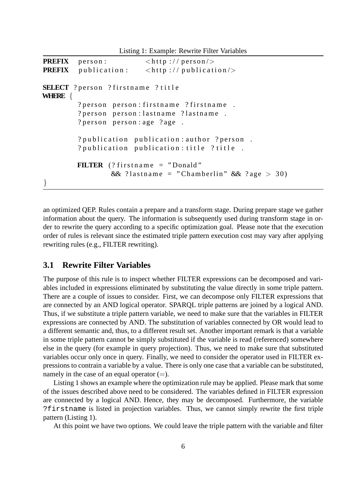Listing 1: Example: Rewrite Filter Variables

```
PREFIX person: \langle \text{http://person/>}PREFIX publication: \langle \text{http://publication/}\rangleSELECT ? person ? firstname ? title
WHERE {
         ? person person: firstname ? firstname.
         ? person person: lastname ? lastname.
         ? person person : age ? age.
         ? publication publication: author ? person.
         ? publication publication: title ? title.
         FILTER (? firstname = "Donald"
                  && ?lastname = "Chamberlin" && ?age > 30)
}
```
an optimized QEP. Rules contain a prepare and a transform stage. During prepare stage we gather information about the query. The information is subsequently used during transform stage in order to rewrite the query according to a specific optimization goal. Please note that the execution order of rules is relevant since the estimated triple pattern execution cost may vary after applying rewriting rules (e.g., FILTER rewriting).

## **3.1 Rewrite Filter Variables**

The purpose of this rule is to inspect whether FILTER expressions can be decomposed and variables included in expressions eliminated by substituting the value directly in some triple pattern. There are a couple of issues to consider. First, we can decompose only FILTER expressions that are connected by an AND logical operator. SPARQL triple patterns are joined by a logical AND. Thus, if we substitute a triple pattern variable, we need to make sure that the variables in FILTER expressions are connected by AND. The substitution of variables connected by OR would lead to a different semantic and, thus, to a different result set. Another important remark is that a variable in some triple pattern cannot be simply substituted if the variable is read (referenced) somewhere else in the query (for example in query projection). Thus, we need to make sure that substituted variables occur only once in query. Finally, we need to consider the operator used in FILTER expressions to contrain a variable by a value. There is only one case that a variable can be substituted, namely in the case of an equal operator  $(=)$ .

Listing 1 shows an example where the optimization rule may be applied. Please mark that some of the issues described above need to be considered. The variables defined in FILTER expression are connected by a logical AND. Hence, they may be decomposed. Furthermore, the variable ?firstname is listed in projection variables. Thus, we cannot simply rewrite the first triple pattern (Listing 1).

At this point we have two options. We could leave the triple pattern with the variable and filter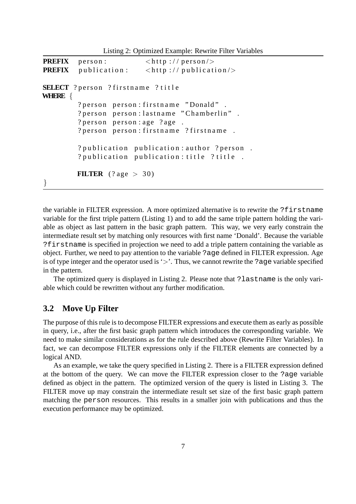Listing 2: Optimized Example: Rewrite Filter Variables

```
PREFIX person: \langle \text{http://person/>}PREFIX publication: \langle h(t) \rangle \langle h(t) \rangleSELECT ? person ? firstname ? title
WHERE {
         ? person person: firstname "Donald".
         ? person person: lastname "Chamberlin".
         ? person person : age ? age .
         ? person person: firstname ? firstname.
         ? publication publication: author ? person.
         ? publication publication: title ? title.
         FILTER ( ? \text{age} > 30)}
```
the variable in FILTER expression. A more optimized alternative is to rewrite the ?firstname variable for the first triple pattern (Listing 1) and to add the same triple pattern holding the variable as object as last pattern in the basic graph pattern. This way, we very early constrain the intermediate result set by matching only resources with first name 'Donald'. Because the variable ?firstname is specified in projection we need to add a triple pattern containing the variable as object. Further, we need to pay attention to the variable ?age defined in FILTER expression. Age is of type integer and the operator used is '>'. Thus, we cannot rewrite the ?age variable specified in the pattern.

The optimized query is displayed in Listing 2. Please note that ?lastname is the only variable which could be rewritten without any further modification.

### **3.2 Move Up Filter**

The purpose of this rule is to decompose FILTER expressions and execute them as early as possible in query, i.e., after the first basic graph pattern which introduces the corresponding variable. We need to make similar considerations as for the rule described above (Rewrite Filter Variables). In fact, we can decompose FILTER expressions only if the FILTER elements are connected by a logical AND.

As an example, we take the query specified in Listing 2. There is a FILTER expression defined at the bottom of the query. We can move the FILTER expression closer to the ?age variable defined as object in the pattern. The optimized version of the query is listed in Listing 3. The FILTER move up may constrain the intermediate result set size of the first basic graph pattern matching the person resources. This results in a smaller join with publications and thus the execution performance may be optimized.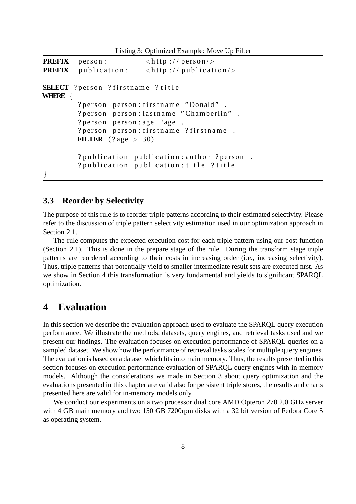Listing 3: Optimized Example: Move Up Filter

```
PREFIX person: \langle \text{http://person/>}PREFIX publication: \langle \text{http://publication/}\rangleSELECT ? person ? firstname ? title
WHERE {
         ? person person: firstname "Donald".
         ? person person: lastname "Chamberlin".
         ? person person : age ? age .
         ? person person: firstname ? firstname.
         FILTER ( ? \text{age} > 30)? publication publication: author ? person.
         ? publication publication : title ? title
}
```
**3.3 Reorder by Selectivity**

The purpose of this rule is to reorder triple patterns according to their estimated selectivity. Please refer to the discussion of triple pattern selectivity estimation used in our optimization approach in Section 2.1.

The rule computes the expected execution cost for each triple pattern using our cost function (Section 2.1). This is done in the prepare stage of the rule. During the transform stage triple patterns are reordered according to their costs in increasing order (i.e., increasing selectivity). Thus, triple patterns that potentially yield to smaller intermediate result sets are executed first. As we show in Section 4 this transformation is very fundamental and yields to significant SPARQL optimization.

## **4 Evaluation**

In this section we describe the evaluation approach used to evaluate the SPARQL query execution performance. We illustrate the methods, datasets, query engines, and retrieval tasks used and we present our findings. The evaluation focuses on execution performance of SPARQL queries on a sampled dataset. We show how the performance of retrieval tasks scales for multiple query engines. The evaluation is based on a dataset which fits into main memory. Thus, the results presented in this section focuses on execution performance evaluation of SPARQL query engines with in-memory models. Although the considerations we made in Section 3 about query optimization and the evaluations presented in this chapter are valid also for persistent triple stores, the results and charts presented here are valid for in-memory models only.

We conduct our experiments on a two processor dual core AMD Opteron 270 2.0 GHz server with 4 GB main memory and two 150 GB 7200rpm disks with a 32 bit version of Fedora Core 5 as operating system.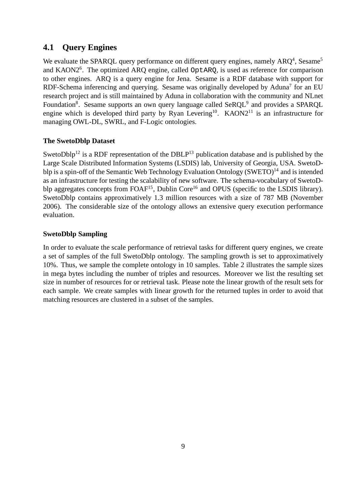## **4.1 Query Engines**

We evaluate the SPARQL query performance on different query engines, namely  $ARQ<sup>4</sup>$ , Sesame<sup>5</sup> and KAON2<sup>6</sup>. The optimized ARQ engine, called OptARQ, is used as reference for comparison to other engines. ARQ is a query engine for Jena. Sesame is a RDF database with support for RDF-Schema inferencing and querying. Sesame was originally developed by Aduna<sup>7</sup> for an EU research project and is still maintained by Aduna in collaboration with the community and NLnet Foundation<sup>8</sup>. Sesame supports an own query language called  $SeRQL<sup>9</sup>$  and provides a SPARQL engine which is developed third party by Ryan Levering<sup>10</sup>. KAON2<sup>11</sup> is an infrastructure for managing OWL-DL, SWRL, and F-Logic ontologies.

### **The SwetoDblp Dataset**

SwetoDblp<sup>12</sup> is a RDF representation of the DBLP<sup>13</sup> publication database and is published by the Large Scale Distributed Information Systems (LSDIS) lab, University of Georgia, USA. SwetoDblp is a spin-off of the Semantic Web Technology Evaluation Ontology  $(SWETO)^{14}$  and is intended as an infrastructure for testing the scalability of new software. The schema-vocabulary of SwetoDblp aggregates concepts from  $FOAF^{15}$ , Dublin Core<sup>16</sup> and OPUS (specific to the LSDIS library). SwetoDblp contains approximatively 1.3 million resources with a size of 787 MB (November 2006). The considerable size of the ontology allows an extensive query execution performance evaluation.

### **SwetoDblp Sampling**

In order to evaluate the scale performance of retrieval tasks for different query engines, we create a set of samples of the full SwetoDblp ontology. The sampling growth is set to approximatively 10%. Thus, we sample the complete ontology in 10 samples. Table 2 illustrates the sample sizes in mega bytes including the number of triples and resources. Moreover we list the resulting set size in number of resources for or retrieval task. Please note the linear growth of the result sets for each sample. We create samples with linear growth for the returned tuples in order to avoid that matching resources are clustered in a subset of the samples.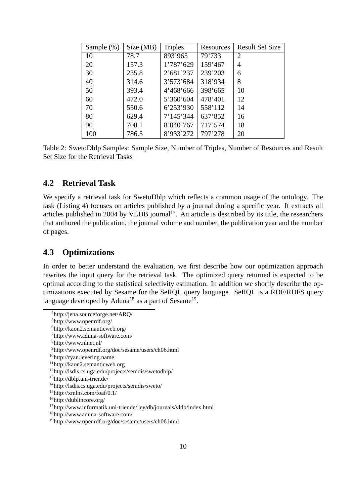| Sample $(\%)$ | Size (MB) | <b>Triples</b> | Resources | <b>Result Set Size</b> |
|---------------|-----------|----------------|-----------|------------------------|
| 10            | 78.7      | 893'965        | 79'733    | 2                      |
| 20            | 157.3     | 1'787'629      | 159'467   | 4                      |
| 30            | 235.8     | 2'681'237      | 239'203   | 6                      |
| 40            | 314.6     | 3'573'684      | 318'934   | 8                      |
| 50            | 393.4     | 4'468'666      | 398'665   | 10                     |
| 60            | 472.0     | 5'360'604      | 478'401   | 12                     |
| 70            | 550.6     | 6'253'930      | 558'112   | 14                     |
| 80            | 629.4     | 7'145'344      | 637'852   | 16                     |
| 90            | 708.1     | 8'040'767      | 717'574   | 18                     |
| 100           | 786.5     | 8'933'272      | 797'278   | 20                     |

Table 2: SwetoDblp Samples: Sample Size, Number of Triples, Number of Resources and Result Set Size for the Retrieval Tasks

## **4.2 Retrieval Task**

We specify a retrieval task for SwetoDblp which reflects a common usage of the ontology. The task (Listing 4) focuses on articles published by a journal during a specific year. It extracts all articles published in 2004 by VLDB journal<sup>17</sup>. An article is described by its title, the researchers that authored the publication, the journal volume and number, the publication year and the number of pages.

## **4.3 Optimizations**

In order to better understand the evaluation, we first describe how our optimization approach rewrites the input query for the retrieval task. The optimized query returned is expected to be optimal according to the statistical selectivity estimation. In addition we shortly describe the optimizations executed by Sesame for the SeRQL query language. SeRQL is a RDF/RDFS query language developed by Aduna<sup>18</sup> as a part of Sesame<sup>19</sup>.

http://jena.sourceforge.net/ARQ/

http://www.openrdf.org/

http://kaon2.semanticweb.org/

http://www.aduna-software.com/

http://www.nlnet.nl/

http://www.openrdf.org/doc/sesame/users/ch06.html

http://ryan.levering.name

http://kaon2.semanticweb.org

http://lsdis.cs.uga.edu/projects/semdis/swetodblp/

http://dblp.uni-trier.de/

http://lsdis.cs.uga.edu/projects/semdis/sweto/

http://xmlns.com/foaf/0.1/

http://dublincore.org/

http://www.informatik.uni-trier.de/ ley/db/journals/vldb/index.html

http://www.aduna-software.com/

http://www.openrdf.org/doc/sesame/users/ch06.html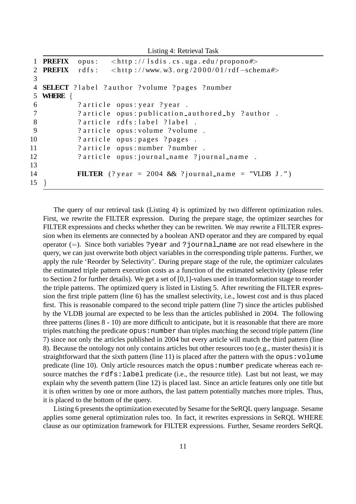Listing 4: Retrieval Task

```
1 PREFIX opus: <http://lsdis.cs.uga.edu/propono#>
2 PREFIX rdfs: <http://www.w3.org/2000/01/rdf-schema#>
3
4 SELECT ? label ? author ? volume ? pages ? number
5 WHERE {
6 ? article opus: year ? year.
7 ? article opus: publication_authored_by ? author .
8 ? article rdfs: label ? label .
9 ? article opus: volume ? volume .
10 ? article opus: pages ? pages .
11 ? article opus: number ? number
12 ? article opus: journal_name ? journal_name .
13
14 FILTER (? year = 2004 & ? journal_name = "VLDB J.")
15 }
```
The query of our retrieval task (Listing 4) is optimized by two different optimization rules. First, we rewrite the FILTER expression. During the prepare stage, the optimizer searches for FILTER expressions and checks whether they can be rewritten. We may rewrite a FILTER expression when its elements are connected by a boolean AND operator and they are compared by equal operator  $(=)$ . Since both variables ?year and ?journal name are not read elsewhere in the query, we can just overwrite both object variables in the corresponding triple patterns. Further, we apply the rule 'Reorder by Selectivity'. During prepare stage of the rule, the optimizer calculates the estimated triple pattern execution costs as a function of the estimated selectivity (please refer to Section 2 for further details). We get a set of [0,1]-values used in transformation stage to reorder the triple patterns. The optimized query is listed in Listing 5. After rewriting the FILTER expression the first triple pattern (line 6) has the smallest selectivity, i.e., lowest cost and is thus placed first. This is reasonable compared to the second triple pattern (line 7) since the articles published by the VLDB journal are expected to be less than the articles published in 2004. The following three patterns (lines 8 - 10) are more difficult to anticipate, but it is reasonable that there are more triples matching the predicate  $opus:number$  than triples matching the second triple pattern (line 7) since not only the articles published in 2004 but every article will match the third pattern (line 8). Because the ontology not only contains articles but other resources too (e.g., master thesis) it is straightforward that the sixth pattern (line 11) is placed after the pattern with the opus:  $volume$ predicate (line 10). Only article resources match the opus: number predicate whereas each resource matches the rdfs: label predicate (i.e., the resource title). Last but not least, we may explain why the seventh pattern (line 12) is placed last. Since an article features only one title but it is often written by one or more authors, the last pattern potentially matches more triples. Thus, it is placed to the bottom of the query.

Listing 6 presents the optimization executed by Sesame for the SeRQL query language. Sesame applies some general optimization rules too. In fact, it rewrites expressions in SeRQL WHERE clause as our optimization framework for FILTER expressions. Further, Sesame reorders SeRQL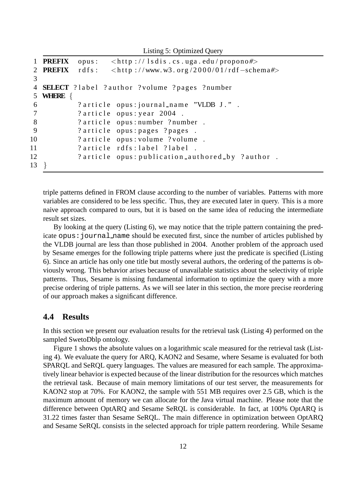Listing 5: Optimized Query

```
1 PREFIX opus: <http://lsdis.cs.uga.edu/propono#>
2 PREFIX rdfs: <http://www.w3.org/2000/01/rdf-schema#>
3
4 SELECT ? label ? author ? volume ? pages ? number
5 WHERE {
6 ? article opus: journal_name "VLDB J.".
7 ? article opus: year 2004.
8 ? article opus: number ? number.
9 ? article opus: pages ? pages .
10 ? article opus: volume ? volume .
11 ? article rdfs: label ? label .
12 ? article opus: publication_authored_by ? author .
13 }
```
triple patterns defined in FROM clause according to the number of variables. Patterns with more variables are considered to be less specific. Thus, they are executed later in query. This is a more naive approach compared to ours, but it is based on the same idea of reducing the intermediate result set sizes.

By looking at the query (Listing 6), we may notice that the triple pattern containing the predicate opus:journal name should be executed first, since the number of articles published by the VLDB journal are less than those published in 2004. Another problem of the approach used by Sesame emerges for the following triple patterns where just the predicate is specified (Listing 6). Since an article has only one title but mostly several authors, the ordering of the patterns is obviously wrong. This behavior arises because of unavailable statistics about the selectivity of triple patterns. Thus, Sesame is missing fundamental information to optimize the query with a more precise ordering of triple patterns. As we will see later in this section, the more precise reordering of our approach makes a significant difference.

## **4.4 Results**

In this section we present our evaluation results for the retrieval task (Listing 4) performed on the sampled SwetoDblp ontology.

Figure 1 shows the absolute values on a logarithmic scale measured for the retrieval task (Listing 4). We evaluate the query for ARQ, KAON2 and Sesame, where Sesame is evaluated for both SPARQL and SeRQL query languages. The values are measured for each sample. The approximatively linear behavior is expected because of the linear distribution for the resources which matches the retrieval task. Because of main memory limitations of our test server, the measurements for KAON2 stop at 70%. For KAON2, the sample with 551 MB requires over 2.5 GB, which is the maximum amount of memory we can allocate for the Java virtual machine. Please note that the difference between OptARQ and Sesame SeRQL is considerable. In fact, at 100% OptARQ is 31.22 times faster than Sesame SeRQL. The main difference in optimization between OptARQ and Sesame SeRQL consists in the selected approach for triple pattern reordering. While Sesame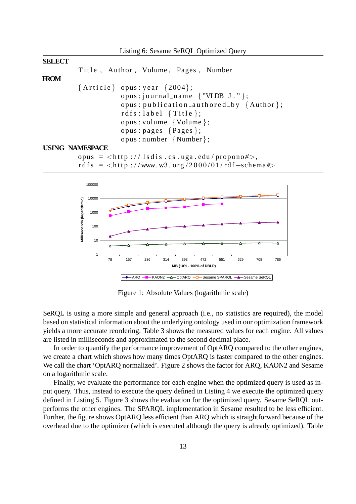



Figure 1: Absolute Values (logarithmic scale)

SeRQL is using a more simple and general approach (i.e., no statistics are required), the model based on statistical information about the underlying ontology used in our optimization framework yields a more accurate reordering. Table 3 shows the measured values for each engine. All values are listed in milliseconds and approximated to the second decimal place.

In order to quantify the performance improvement of OptARQ compared to the other engines, we create a chart which shows how many times OptARQ is faster compared to the other engines. We call the chart 'OptARQ normalized'. Figure 2 shows the factor for ARQ, KAON2 and Sesame on a logarithmic scale.

Finally, we evaluate the performance for each engine when the optimized query is used as input query. Thus, instead to execute the query defined in Listing 4 we execute the optimized query defined in Listing 5. Figure 3 shows the evaluation for the optimized query. Sesame SeRQL outperforms the other engines. The SPARQL implementation in Sesame resulted to be less efficient. Further, the figure shows OptARQ less efficient than ARQ which is straightforward because of the overhead due to the optimizer (which is executed although the query is already optimized). Table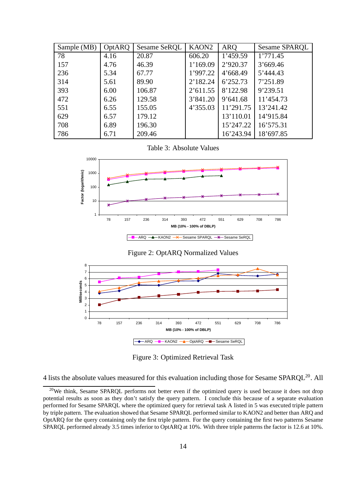| Sample (MB) | OptARQ | Sesame SeRQL | KAON <sub>2</sub> | <b>ARQ</b> | Sesame SPARQL |
|-------------|--------|--------------|-------------------|------------|---------------|
| 78          | 4.16   | 20.87        | 606.20            | 1'459.59   | 1'771.45      |
| 157         | 4.76   | 46.39        | 1'169.09          | 2'920.37   | 3'669.46      |
| 236         | 5.34   | 67.77        | 1'997.22          | 4'668.49   | 5'444.43      |
| 314         | 5.61   | 89.90        | 2'182.24          | 6'252.73   | 7'251.89      |
| 393         | 6.00   | 106.87       | 2'611.55          | 8'122.98   | 9'239.51      |
| 472         | 6.26   | 129.58       | 3'841.20          | 9'641.68   | 11'454.73     |
| 551         | 6.55   | 155.05       | 4'355.03          | 11'291.75  | 13'241.42     |
| 629         | 6.57   | 179.12       |                   | 13'110.01  | 14'915.84     |
| 708         | 6.89   | 196.30       |                   | 15'247.22  | 16'575.31     |
| 786         | 6.71   | 209.46       |                   | 16'243.94  | 18'697.85     |

Table 3: Absolute Values



Figure 2: OptARQ Normalized Values



Figure 3: Optimized Retrieval Task

4 lists the absolute values measured for this evaluation including those for Sesame SPARQL<sup>20</sup>. All

<sup>&</sup>lt;sup>20</sup>We think, Sesame SPARQL performs not better even if the optimized query is used because it does not drop potential results as soon as they don't satisfy the query pattern. I conclude this because of a separate evaluation performed for Sesame SPARQL where the optimized query for retrieval task A listed in 5 was executed triple pattern by triple pattern. The evaluation showed that Sesame SPARQL performed similar to KAON2 and better than ARQ and OptARQ for the query containing only the first triple pattern. For the query containing the first two patterns Sesame SPARQL performed already 3.5 times inferior to OptARQ at 10%. With three triple patterns the factor is 12.6 at 10%.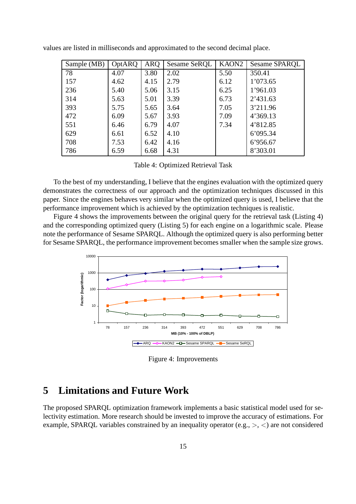| Sample (MB) | OptARQ | ARQ  | Sesame SeRQL | KAON <sub>2</sub> | Sesame SPARQL |
|-------------|--------|------|--------------|-------------------|---------------|
| 78          | 4.07   | 3.80 | 2.02         | 5.50              | 350.41        |
| 157         | 4.62   | 4.15 | 2.79         | 6.12              | 1'073.65      |
| 236         | 5.40   | 5.06 | 3.15         | 6.25              | 1'961.03      |
| 314         | 5.63   | 5.01 | 3.39         | 6.73              | 2'431.63      |
| 393         | 5.75   | 5.65 | 3.64         | 7.05              | 3'211.96      |
| 472         | 6.09   | 5.67 | 3.93         | 7.09              | 4'369.13      |
| 551         | 6.46   | 6.79 | 4.07         | 7.34              | 4'812.85      |
| 629         | 6.61   | 6.52 | 4.10         |                   | 6'095.34      |
| 708         | 7.53   | 6.42 | 4.16         |                   | 6'956.67      |
| 786         | 6.59   | 6.68 | 4.31         |                   | 8'303.01      |

values are listed in milliseconds and approximated to the second decimal place.

Table 4: Optimized Retrieval Task

To the best of my understanding, I believe that the engines evaluation with the optimized query demonstrates the correctness of our approach and the optimization techniques discussed in this paper. Since the engines behaves very similar when the optimized query is used, I believe that the performance improvement which is achieved by the optimization techniques is realistic.

Figure 4 shows the improvements between the original query for the retrieval task (Listing 4) and the corresponding optimized query (Listing 5) for each engine on a logarithmic scale. Please note the performance of Sesame SPARQL. Although the optimized query is also performing better for Sesame SPARQL, the performance improvement becomes smaller when the sample size grows.



Figure 4: Improvements

## **5 Limitations and Future Work**

The proposed SPARQL optimization framework implements a basic statistical model used for selectivity estimation. More research should be invested to improve the accuracy of estimations. For example, SPARQL variables constrained by an inequality operator (e.g.,  $>$ ,  $\lt$ ) are not considered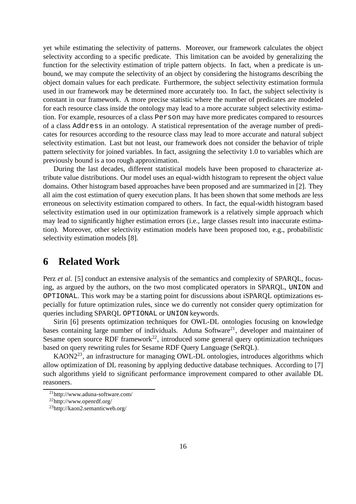yet while estimating the selectivity of patterns. Moreover, our framework calculates the object selectivity according to a specific predicate. This limitation can be avoided by generalizing the function for the selectivity estimation of triple pattern objects. In fact, when a predicate is unbound, we may compute the selectivity of an object by considering the histograms describing the object domain values for each predicate. Furthermore, the subject selectivity estimation formula used in our framework may be determined more accurately too. In fact, the subject selectivity is constant in our framework. A more precise statistic where the number of predicates are modeled for each resource class inside the ontology may lead to a more accurate subject selectivity estimation. For example, resources of a class Person may have more predicates compared to resources of a class Address in an ontology. A statistical representation of the average number of predicates for resources according to the resource class may lead to more accurate and natural subject selectivity estimation. Last but not least, our framework does not consider the behavior of triple pattern selectivity for joined variables. In fact, assigning the selectivity 1.0 to variables which are previously bound is a too rough approximation.

During the last decades, different statistical models have been proposed to characterize attribute value distributions. Our model uses an equal-width histogram to represent the object value domains. Other histogram based approaches have been proposed and are summarized in [2]. They all aim the cost estimation of query execution plans. It has been shown that some methods are less erroneous on selectivity estimation compared to others. In fact, the equal-width histogram based selectivity estimation used in our optimization framework is a relatively simple approach which may lead to significantly higher estimation errors (i.e., large classes result into inaccurate estimation). Moreover, other selectivity estimation models have been proposed too, e.g., probabilistic selectivity estimation models [8].

## **6 Related Work**

Perz *et al.* [5] conduct an extensive analysis of the semantics and complexity of SPARQL, focusing, as argued by the authors, on the two most complicated operators in SPARQL, UNION and OPTIONAL. This work may be a starting point for discussions about iSPARQL optimizations especially for future optimization rules, since we do currently not consider query optimization for queries including SPARQL OPTIONAL or UNION keywords.

Sirin [6] presents optimization techniques for OWL-DL ontologies focusing on knowledge bases containing large number of individuals. Aduna Software<sup>21</sup>, developer and maintainer of Sesame open source RDF framework<sup>22</sup>, introduced some general query optimization techniques based on query rewriting rules for Sesame RDF Query Language (SeRQL).

KAON2<sup>23</sup>, an infrastructure for managing OWL-DL ontologies, introduces algorithms which allow optimization of DL reasoning by applying deductive database techniques. According to [7] such algorithms yield to significant performance improvement compared to other available DL reasoners.

<sup>21</sup>http://www.aduna-software.com/

<sup>22</sup>http://www.openrdf.org/

<sup>23</sup>http://kaon2.semanticweb.org/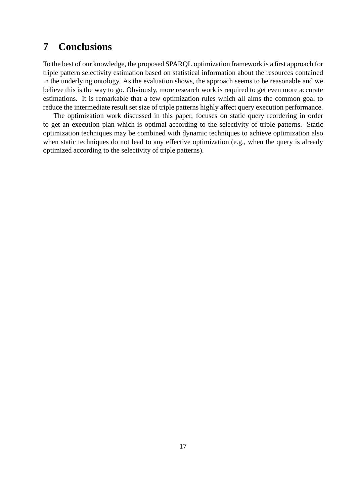# **7 Conclusions**

To the best of our knowledge, the proposed SPARQL optimization framework is a first approach for triple pattern selectivity estimation based on statistical information about the resources contained in the underlying ontology. As the evaluation shows, the approach seems to be reasonable and we believe this is the way to go. Obviously, more research work is required to get even more accurate estimations. It is remarkable that a few optimization rules which all aims the common goal to reduce the intermediate result set size of triple patterns highly affect query execution performance.

The optimization work discussed in this paper, focuses on static query reordering in order to get an execution plan which is optimal according to the selectivity of triple patterns. Static optimization techniques may be combined with dynamic techniques to achieve optimization also when static techniques do not lead to any effective optimization (e.g., when the query is already optimized according to the selectivity of triple patterns).